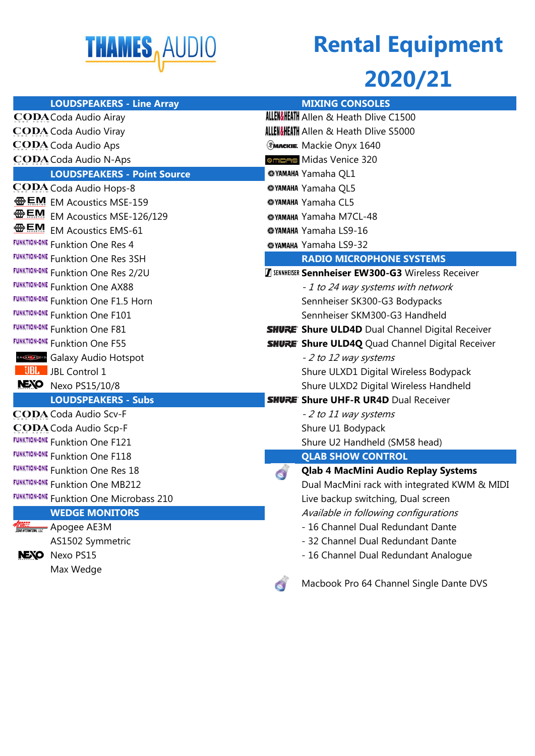

## **Rental Equipment**

### **2020/21**

| <b>LOUDSPEAKERS - Line Array</b>               | <b>MIXING CONSOLES</b>                                    |
|------------------------------------------------|-----------------------------------------------------------|
| <b>CODA</b> Coda Audio Airay                   | <b>ALLEN&amp;HEATH</b> Allen & Heath Dlive C1500          |
| CODA Coda Audio Viray                          | <b>ALLEN&amp;HEATH</b> Allen & Heath Dlive S5000          |
| CODA Coda Audio Aps                            | <b>EMACKIE.</b> Mackie Onyx 1640                          |
| CODA Coda Audio N-Aps                          | <sup>®</sup> mped Midas Venice 320                        |
| <b>LOUDSPEAKERS - Point Source</b>             | <b>@YAMAHA Yamaha QL1</b>                                 |
| CODA Coda Audio Hops-8                         | <b>@YAMAHA Yamaha QL5</b>                                 |
| <b>一点啊</b> EM Acoustics MSE-159                | <b>@YAMAHA Yamaha CL5</b>                                 |
| EM Acoustics MSE-126/129                       | @YAMAHA Yamaha M7CL-48                                    |
| 金貨的<br><b>EM Acoustics EMS-61</b>              | <b>@YAMAHA Yamaha LS9-16</b>                              |
| <b>FUNKTION-ONE Funktion One Res 4</b>         | <b>@YAMAHA Yamaha LS9-32</b>                              |
| <b>FUNKTION-ONE Funktion One Res 3SH</b>       | <b>RADIO MICROPHONE SYSTEMS</b>                           |
| <b>FUNKTION-ONE Funktion One Res 2/2U</b>      | <b>Z SENNHEISER Sennheiser EW300-G3 Wireless Receiver</b> |
| <b>FUNKTION-ONE Funktion One AX88</b>          | - 1 to 24 way systems with network                        |
| <b>FUNKTION-ONE Funktion One F1.5 Horn</b>     | Sennheiser SK300-G3 Bodypacks                             |
| <b>FUNKTION-ONE Funktion One F101</b>          | Sennheiser SKM300-G3 Handheld                             |
| <b>FUNKTION-ONE Funktion One F81</b>           | <b>SHURE' Shure ULD4D</b> Dual Channel Digital Receiver   |
| <b>FUNKTION-ONE Funktion One F55</b>           | <b>SHURE</b> Shure ULD4Q Quad Channel Digital Receiver    |
| Galaxy Audio Hotspot                           | - 2 to 12 way systems                                     |
| <b>BL</b> JBL Control 1                        | Shure ULXD1 Digital Wireless Bodypack                     |
| NEXO Nexo PS15/10/8                            | Shure ULXD2 Digital Wireless Handheld                     |
| <b>LOUDSPEAKERS - Subs</b>                     | <b>SHURE</b> Shure UHF-R UR4D Dual Receiver               |
| <b>CODA</b> Coda Audio Scv-F                   | - 2 to 11 way systems                                     |
| CODA Coda Audio Scp-F                          | Shure U1 Bodypack                                         |
| <b>FUNKTION-ONE Funktion One F121</b>          | Shure U2 Handheld (SM58 head)                             |
| <b>FUNKTION-ONE Funktion One F118</b>          | <b>QLAB SHOW CONTROL</b>                                  |
| <b>FUNKTION-ONE Funktion One Res 18</b>        | <b>Qlab 4 MacMini Audio Replay Systems</b>                |
| <b>FUNKTION-ONE Funktion One MB212</b>         | Dual MacMini rack with integrated KWM & MIDI              |
| <b>FUNKTION-ONE</b> Funktion One Microbass 210 | Live backup switching, Dual screen                        |
| <b>WEDGE MONITORS</b>                          | Available in following configurations                     |
| APDEE Apogee AE3M                              | - 16 Channel Dual Redundant Dante                         |
| AS1502 Symmetric                               | - 32 Channel Dual Redundant Dante                         |
| Nexo PS15<br><b>NEXO</b>                       | - 16 Channel Dual Redundant Analogue                      |
| Max Wedge                                      |                                                           |
|                                                | Macbook Pro 64 Channel Single Dante DVS<br>œ              |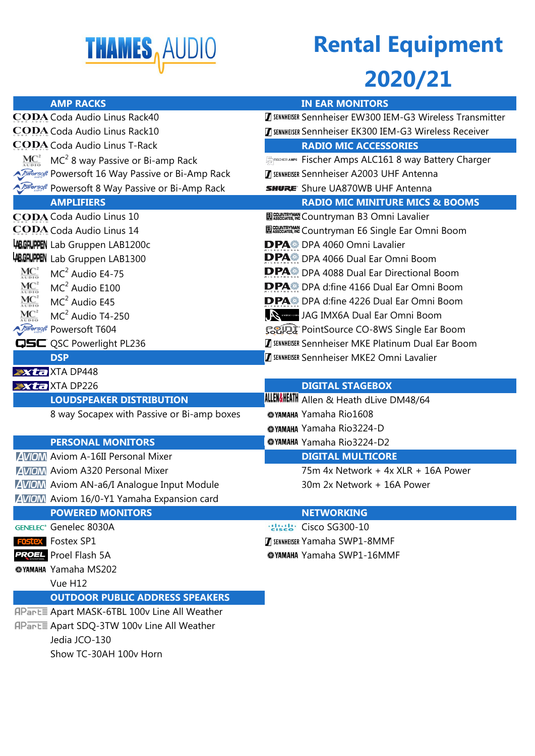

# **Rental Equipment**

#### **2020/21**

| <b>AMP RACKS</b>                                                                            | <b>IN EAR MONITORS</b>                                        |
|---------------------------------------------------------------------------------------------|---------------------------------------------------------------|
| <b>CODA</b> Coda Audio Linus Rack40                                                         | SENNHEISER Sennheiser EW300 IEM-G3 Wireless Transmitter       |
| CODA Coda Audio Linus Rack10                                                                | <b>Z SENNHEISER Sennheiser EK300 IEM-G3 Wireless Receiver</b> |
| <b>CODA</b> Coda Audio Linus T-Rack                                                         | <b>RADIO MIC ACCESSORIES</b>                                  |
| $\underline{MC}^2$ MC <sup>2</sup> 8 way Passive or Bi-amp Rack                             | FREIR ERISPER AMPS Fischer Amps ALC161 8 way Battery Charger  |
| <b>A Torregget</b> Powersoft 16 Way Passive or Bi-Amp Rack                                  | <b>Z SENNHEISER Sennheiser A2003 UHF Antenna</b>              |
| <i><b>Jowersoft</b></i> Powersoft 8 Way Passive or Bi-Amp Rack                              | <b>SHURE:</b> Shure UA870WB UHF Antenna                       |
| <b>AMPLIFIERS</b>                                                                           | <b>RADIO MIC MINITURE MICS &amp; BOOMS</b>                    |
| <b>CODA Coda Audio Linus 10</b>                                                             | <b>EN SEGUATRYMAN</b> Countryman B3 Omni Lavalier             |
| <b>CODA</b> Coda Audio Linus 14                                                             | <b>IN COUNTRYMAN</b> Countryman E6 Single Ear Omni Boom       |
| <b>ABGRUPPEN</b> Lab Gruppen LAB1200c                                                       | <b>DPA</b> DPA 4060 Omni Lavalier                             |
| <b>ABGRUPPEN</b> Lab Gruppen LAB1300                                                        | <b>DPA</b> : DPA 4066 Dual Ear Omni Boom                      |
| $\text{MC}^2_{\text{veto}}$<br>$MC2$ Audio E4-75                                            | <b>DPA</b> DPA 4088 Dual Ear Directional Boom                 |
| $\mathrm{\mathrm{MC}}_{\scriptscriptstyle{\mathrm{NDD}}}^{2}$<br>MC <sup>2</sup> Audio E100 | <b>DPA</b> DPA d:fine 4166 Dual Ear Omni Boom                 |
| $MC^2_{\alpha\nu\rho\tau\sigma}$<br>$MC2$ Audio E45                                         | <b>DPA</b> DPA d:fine 4226 Dual Ear Omni Boom                 |
| $\mathrm{\mathrm{MC}}^2_{\scriptscriptstyle{\mathrm{UD1D}}}$<br>$MC2$ Audio T4-250          | JA SAN JAG IMX6A Dual Ear Omni Boom                           |
| <i><b>AFRICALLE POWERSOft T604</b></i>                                                      | SSIPE PointSource CO-8WS Single Ear Boom                      |
| QSC Powerlight PL236                                                                        | <b>Z SENNHEISER Sennheiser MKE Platinum Dual Ear Boom</b>     |
| <b>DSP</b>                                                                                  | <b>Z SENNHEISER Sennheiser MKE2 Omni Lavalier</b>             |
| <b>Axta</b> XTA DP448                                                                       |                                                               |
| Xta XTA DP226                                                                               | <b>DIGITAL STAGEBOX</b>                                       |
| <b>LOUDSPEAKER DISTRIBUTION</b>                                                             | <b>ALLEN&amp;HEATH</b> Allen & Heath dLive DM48/64            |
| 8 way Socapex with Passive or Bi-amp boxes                                                  | <b>@YAMAHA Yamaha Rio1608</b>                                 |
|                                                                                             | <b>@YAMAHA Yamaha Rio3224-D</b>                               |
| <b>PERSONAL MONITORS</b>                                                                    | <b>@YAMAHA Yamaha Rio3224-D2</b>                              |
| <b>AVIOM</b> Aviom A-16II Personal Mixer                                                    | <b>DIGITAL MULTICORE</b>                                      |
| <b>AVIOM</b> Aviom A320 Personal Mixer                                                      | 75m 4x Network + 4x XLR + 16A Power                           |
| <b>AVIOM</b> Aviom AN-a6/I Analogue Input Module                                            | 30m 2x Network + 16A Power                                    |
| <b>AVIOM</b> Aviom 16/0-Y1 Yamaha Expansion card                                            |                                                               |
| <b>POWERED MONITORS</b>                                                                     | <b>NETWORKING</b>                                             |
| <b>GENELEC®</b> Genelec 8030A                                                               | <b>Realt:</b> Cisco SG300-10                                  |
| <b>FOSTEX</b> Fostex SP1                                                                    | <b>Z SENNHEISER Yamaha SWP1-8MMF</b>                          |
| <b>PROEL</b> Proel Flash 5A                                                                 | <b>@YAMAHA Yamaha SWP1-16MMF</b>                              |
| <b>@YAMAHA Yamaha MS202</b>                                                                 |                                                               |
| Vue H12                                                                                     |                                                               |
| <b>OUTDOOR PUBLIC ADDRESS SPEAKERS</b>                                                      |                                                               |
| APart Apart MASK-6TBL 100v Line All Weather                                                 |                                                               |
| APart Apart SDQ-3TW 100v Line All Weather                                                   |                                                               |
| Jedia JCO-130                                                                               |                                                               |
| Show TC-30AH 100v Horn                                                                      |                                                               |